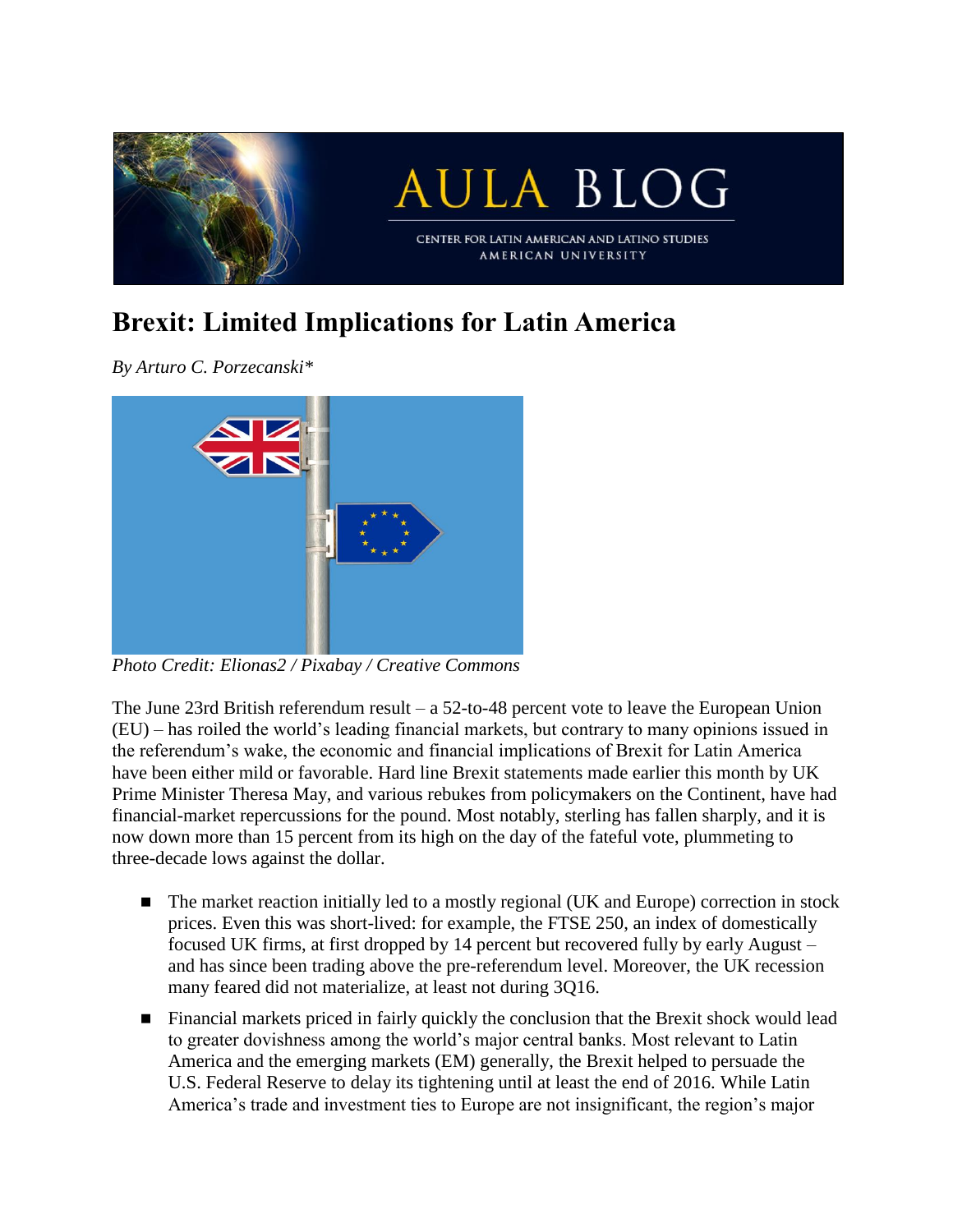

## **Brexit: Limited Implications for Latin America**

*By Arturo C. Porzecanski\**



*Photo Credit: Elionas2 / Pixabay / Creative Commons*

The June 23rd British referendum result  $- a 52$ -to-48 percent vote to leave the European Union (EU) – has roiled the world's leading financial markets, but contrary to many opinions issued in the referendum's wake, the economic and financial implications of Brexit for Latin America have been either mild or favorable. Hard line Brexit statements made earlier this month by UK Prime Minister Theresa May, and various rebukes from policymakers on the Continent, have had financial-market repercussions for the pound. Most notably, sterling has fallen sharply, and it is now down more than 15 percent from its high on the day of the fateful vote, plummeting to three-decade lows against the dollar.

- The market reaction initially led to a mostly regional (UK and Europe) correction in stock prices. Even this was short-lived: for example, the FTSE 250, an index of domestically focused UK firms, at first dropped by 14 percent but recovered fully by early August – and has since been trading above the pre-referendum level. Moreover, the UK recession many feared did not materialize, at least not during 3Q16.
- **Financial markets priced in fairly quickly the conclusion that the Brexit shock would lead** to greater dovishness among the world's major central banks. Most relevant to Latin America and the emerging markets (EM) generally, the Brexit helped to persuade the U.S. Federal Reserve to delay its tightening until at least the end of 2016. While Latin America's trade and investment ties to Europe are not insignificant, the region's major